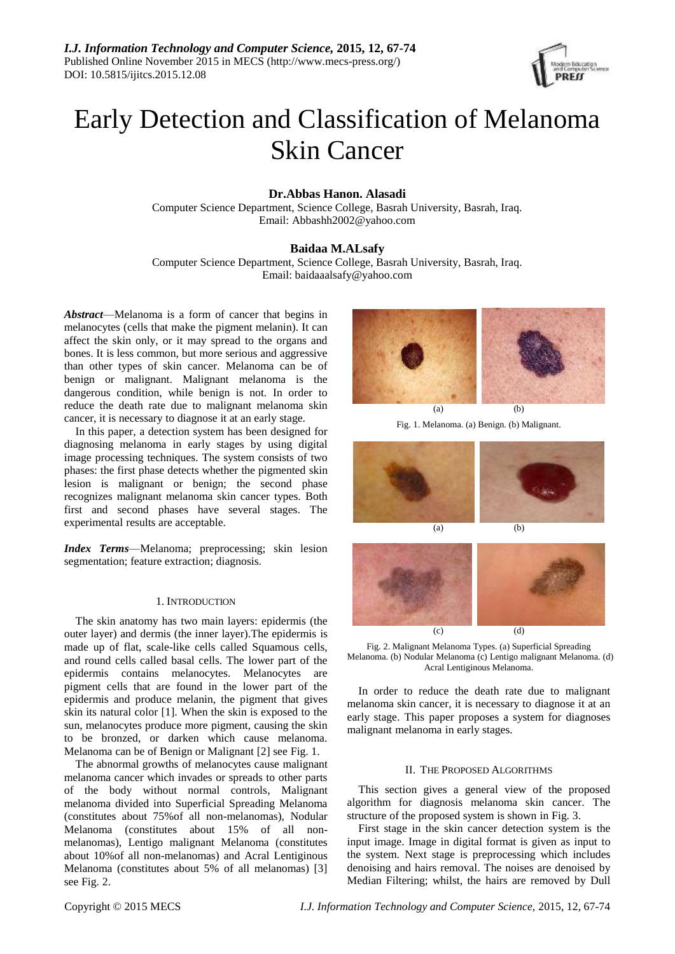

# Early Detection and Classification of Melanoma Skin Cancer

# **Dr.Abbas Hanon. Alasadi**

Computer Science Department, Science College, Basrah University, Basrah, Iraq. Email: [Abbashh2002@yahoo.com](mailto:Abbashh2002@yahoo.com)

# **Baidaa M.ALsafy**

Computer Science Department, Science College, Basrah University, Basrah, Iraq. Email: [baidaaalsafy@yahoo.com](mailto:baidaaalsafy@yahoo.com)

*Abstract*—Melanoma is a form of cancer that begins in melanocytes (cells that make the pigment melanin). It can affect the skin only, or it may spread to the organs and bones. It is less common, but more serious and aggressive than other types of skin cancer. Melanoma can be of benign or malignant. Malignant melanoma is the dangerous condition, while benign is not. In order to reduce the death rate due to malignant melanoma skin cancer, it is necessary to diagnose it at an early stage.

In this paper, a detection system has been designed for diagnosing melanoma in early stages by using digital image processing techniques. The system consists of two phases: the first phase detects whether the pigmented skin lesion is malignant or benign; the second phase recognizes malignant melanoma skin cancer types. Both first and second phases have several stages. The experimental results are acceptable.

*Index Terms*—Melanoma; preprocessing; skin lesion segmentation; feature extraction; diagnosis.

# 1. INTRODUCTION

The skin anatomy has two main layers: epidermis (the outer layer) and dermis (the inner layer).The epidermis is made up of flat, scale-like cells called Squamous cells, and round cells called basal cells. The lower part of the epidermis contains melanocytes. Melanocytes are pigment cells that are found in the lower part of the epidermis and produce melanin, the pigment that gives skin its natural color [1]. When the skin is exposed to the sun, melanocytes produce more pigment, causing the skin to be bronzed, or darken which cause melanoma. Melanoma can be of Benign or Malignant [2] see Fig. 1.

The abnormal growths of melanocytes cause malignant melanoma cancer which invades or spreads to other parts of the body without normal controls, Malignant melanoma divided into Superficial Spreading Melanoma (constitutes about 75%of all non-melanomas), Nodular Melanoma (constitutes about 15% of all nonmelanomas), Lentigo malignant Melanoma (constitutes about 10%of all non-melanomas) and Acral Lentiginous Melanoma (constitutes about 5% of all melanomas) [3] see Fig. 2.



Fig. 1. Melanoma. (a) Benign. (b) Malignant.



Fig. 2. Malignant Melanoma Types. (a) Superficial Spreading Melanoma. (b) Nodular Melanoma (c) Lentigo malignant Melanoma. (d) Acral Lentiginous Melanoma.

(c) (d)

In order to reduce the death rate due to malignant melanoma skin cancer, it is necessary to diagnose it at an early stage. This paper proposes a system for diagnoses malignant melanoma in early stages.

# II. THE PROPOSED ALGORITHMS

This section gives a general view of the proposed algorithm for diagnosis melanoma skin cancer. The structure of the proposed system is shown in Fig. 3.

First stage in the skin cancer detection system is the input image. Image in digital format is given as input to the system. Next stage is preprocessing which includes denoising and hairs removal. The noises are denoised by Median Filtering; whilst, the hairs are removed by Dull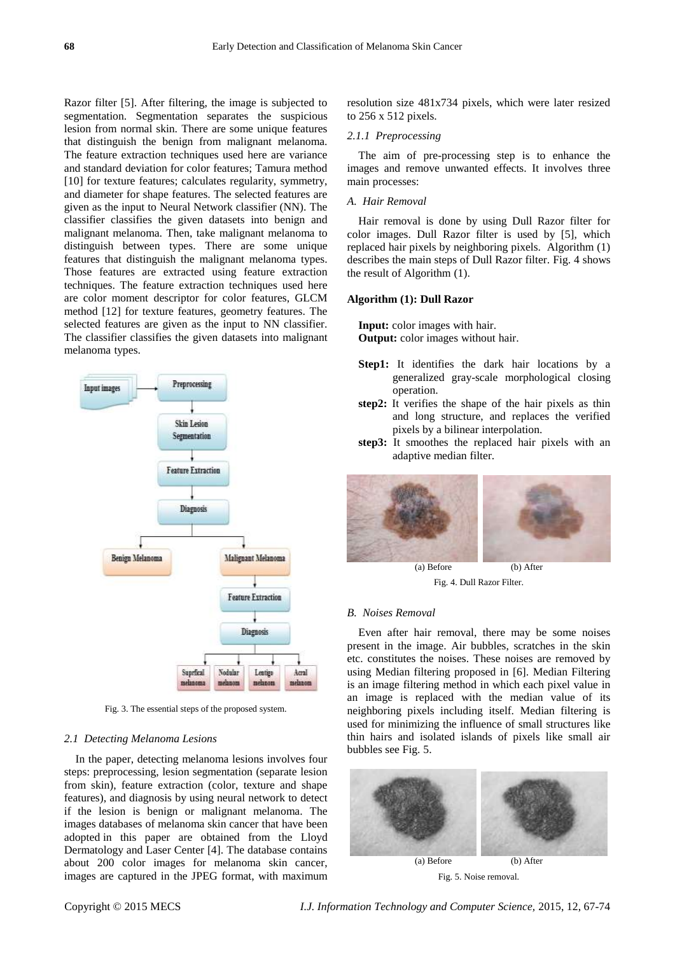Razor filter [5]. After filtering, the image is subjected to segmentation. Segmentation separates the suspicious lesion from normal skin. There are some unique features that distinguish the benign from malignant melanoma. The feature extraction techniques used here are variance and standard deviation for color features; Tamura method [10] for texture features; calculates regularity, symmetry, and diameter for shape features. The selected features are given as the input to Neural Network classifier (NN). The classifier classifies the given datasets into benign and malignant melanoma. Then, take malignant melanoma to distinguish between types. There are some unique features that distinguish the malignant melanoma types. Those features are extracted using feature extraction techniques. The feature extraction techniques used here are color moment descriptor for color features, GLCM method [12] for texture features, geometry features. The selected features are given as the input to NN classifier. The classifier classifies the given datasets into malignant melanoma types.



Fig. 3. The essential steps of the proposed system.

### *2.1 Detecting Melanoma Lesions*

In the paper, detecting melanoma lesions involves four steps: preprocessing, lesion segmentation (separate lesion from skin), feature extraction (color, texture and shape features), and diagnosis by using neural network to detect if the lesion is benign or malignant melanoma. The images databases of melanoma skin cancer that have been adopted in this paper are obtained from the Lloyd Dermatology and Laser Center [4]. The database contains about 200 color images for melanoma skin cancer, images are captured in the JPEG format, with maximum

resolution size 481x734 pixels, which were later resized to 256 x 512 pixels.

#### *2.1.1 Preprocessing*

The aim of pre-processing step is to enhance the images and remove unwanted effects. It involves three main processes:

#### *A. Hair Removal*

Hair removal is done by using Dull Razor filter for color images. Dull Razor filter is used by [5], which replaced hair pixels by neighboring pixels. Algorithm (1) describes the main steps of Dull Razor filter. Fig. 4 shows the result of Algorithm (1).

# **Algorithm (1): Dull Razor**

**Input:** color images with hair. **Output:** color images without hair.

- **Step1:** It identifies the dark hair locations by a generalized gray-scale morphological closing operation.
- **step2:** It verifies the shape of the hair pixels as thin and long structure, and replaces the verified pixels by a bilinear interpolation.
- **step3:** It smoothes the replaced hair pixels with an adaptive median filter.



Fig. 4. Dull Razor Filter.

#### *B. Noises Removal*

Even after hair removal, there may be some noises present in the image. Air bubbles, scratches in the skin etc. constitutes the noises. These noises are removed by using Median filtering proposed in [6]. Median Filtering is an image filtering method in which each pixel value in an image is replaced with the median value of its neighboring pixels including itself. Median filtering is used for minimizing the influence of small structures like thin hairs and isolated islands of pixels like small air bubbles see Fig. 5.



Fig. 5. Noise removal.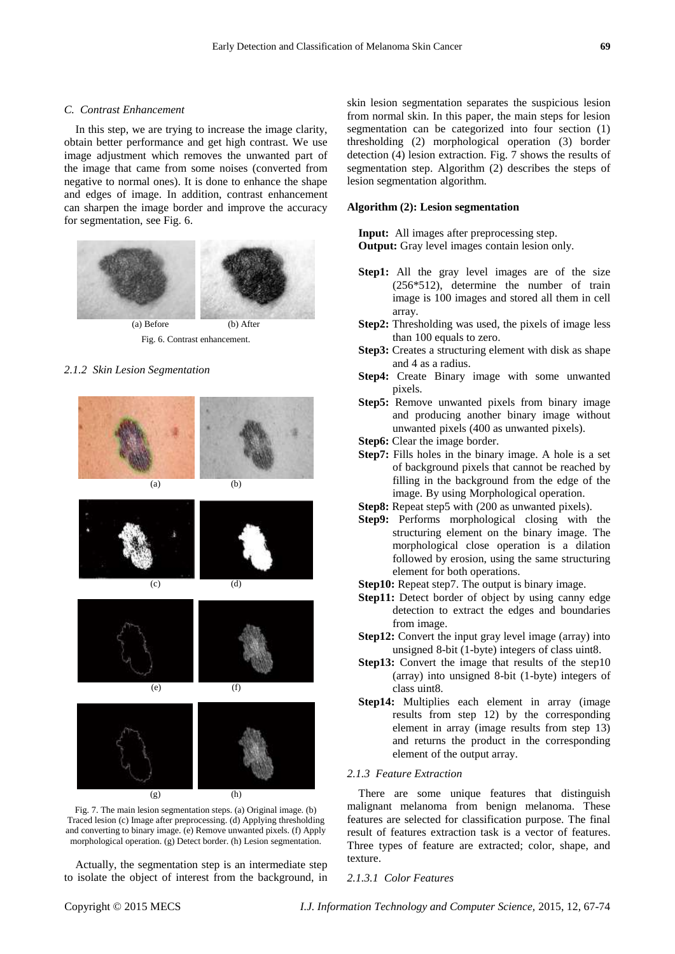# *C. Contrast Enhancement*

In this step, we are trying to increase the image clarity, obtain better performance and get high contrast. We use image adjustment which removes the unwanted part of the image that came from some noises (converted from negative to normal ones). It is done to enhance the shape and edges of image. In addition, contrast enhancement can sharpen the image border and improve the accuracy for segmentation, see Fig. 6.



Fig. 6. Contrast enhancement.

# *2.1.2 Skin Lesion Segmentation*



Fig. 7. The main lesion segmentation steps. (a) Original image. (b) Traced lesion (c) Image after preprocessing. (d) Applying thresholding and converting to binary image. (e) Remove unwanted pixels. (f) Apply morphological operation. (g) Detect border. (h) Lesion segmentation.

Actually, the segmentation step is an intermediate step to isolate the object of interest from the background, in skin lesion segmentation separates the suspicious lesion from normal skin. In this paper, the main steps for lesion segmentation can be categorized into four section (1) thresholding (2) morphological operation (3) border detection (4) lesion extraction. Fig. 7 shows the results of segmentation step. Algorithm (2) describes the steps of lesion segmentation algorithm.

# **Algorithm (2): Lesion segmentation**

**Input:** All images after preprocessing step. **Output:** Gray level images contain lesion only.

- **Step1:** All the gray level images are of the size (256\*512), determine the number of train image is 100 images and stored all them in cell array.
- **Step2:** Thresholding was used, the pixels of image less than 100 equals to zero.
- **Step3:** Creates a structuring element with disk as shape and 4 as a radius.
- **Step4:** Create Binary image with some unwanted pixels.
- **Step5:** Remove unwanted pixels from binary image and producing another binary image without unwanted pixels (400 as unwanted pixels).
- **Step6:** Clear the image border.
- **Step7:** Fills holes in the binary image. A hole is a set of background pixels that cannot be reached by filling in the background from the edge of the image. By using Morphological operation.
- **Step8:** Repeat step5 with (200 as unwanted pixels).
- **Step9:** Performs morphological closing with the structuring element on the binary image. The morphological close operation is a dilation followed by erosion, using the same structuring element for both operations.
- **Step10:** Repeat step7. The output is binary image.
- **Step11:** Detect border of object by using canny edge detection to extract the edges and boundaries from image.
- **Step12:** Convert the input gray level image (array) into unsigned 8-bit (1-byte) integers of class uint8.
- **Step13:** Convert the image that results of the step10 (array) into unsigned 8-bit (1-byte) integers of class uint8.
- **Step14:** Multiplies each element in array (image results from step 12) by the corresponding element in array (image results from step 13) and returns the product in the corresponding element of the output array.

#### *2.1.3 Feature Extraction*

There are some unique features that distinguish malignant melanoma from benign melanoma. These features are selected for classification purpose. The final result of features extraction task is a vector of features. Three types of feature are extracted; color, shape, and texture.

#### *2.1.3.1 Color Features*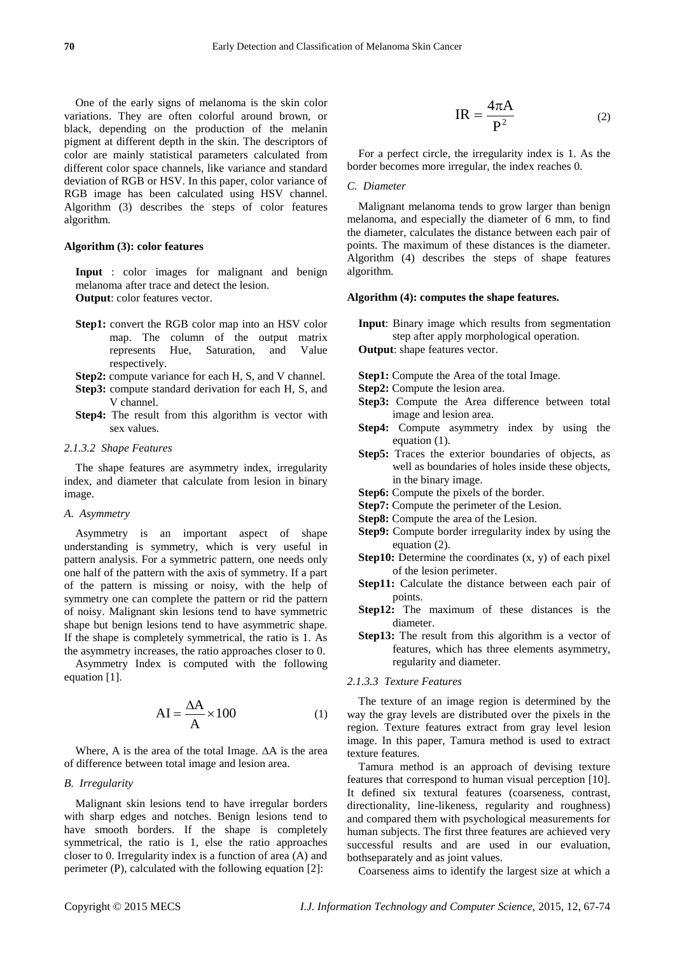One of the early signs of melanoma is the skin color variations. They are often colorful around brown, or black, depending on the production of the melanin pigment at different depth in the skin. The descriptors of color are mainly statistical parameters calculated from different color space channels, like variance and standard deviation of RGB or HSV. In this paper, color variance of RGB image has been calculated using HSV channel. Algorithm (3) describes the steps of color features algorithm.

# **Algorithm (3): color features**

**Input** : color images for malignant and benign melanoma after trace and detect the lesion. **Output**: color features vector.

- **Step1:** convert the RGB color map into an HSV color map. The column of the output matrix represents Hue, Saturation, and Value respectively.
- **Step2:** compute variance for each H, S, and V channel.
- **Step3:** compute standard derivation for each H, S, and V channel.
- **Step4:** The result from this algorithm is vector with sex values.

#### *2.1.3.2 Shape Features*

The shape features are asymmetry index, irregularity index, and diameter that calculate from lesion in binary image.

# *A. Asymmetry*

Asymmetry is an important aspect of shape understanding is symmetry, which is very useful in pattern analysis. For a symmetric pattern, one needs only one half of the pattern with the axis of symmetry. If a part of the pattern is missing or noisy, with the help of symmetry one can complete the pattern or rid the pattern of noisy. Malignant skin lesions tend to have symmetric shape but benign lesions tend to have asymmetric shape. If the shape is completely symmetrical, the ratio is 1. As the asymmetry increases, the ratio approaches closer to 0.

Asymmetry Index is computed with the following equation [1].

$$
AI = \frac{\Delta A}{A} \times 100
$$
 (1)

Where, A is the area of the total Image.  $\Delta A$  is the area of difference between total image and lesion area.

#### *B. Irregularity*

Malignant skin lesions tend to have irregular borders with sharp edges and notches. Benign lesions tend to have smooth borders. If the shape is completely symmetrical, the ratio is 1, else the ratio approaches closer to 0. Irregularity index is a function of area (A) and perimeter (P), calculated with the following equation [2]:

$$
IR = \frac{4\pi A}{P^2}
$$
 (2)

For a perfect circle, the irregularity index is 1. As the border becomes more irregular, the index reaches 0.

# *C. Diameter*

Malignant melanoma tends to grow larger than benign melanoma, and especially the diameter of 6 mm, to find the diameter, calculates the distance between each pair of points. The maximum of these distances is the diameter. Algorithm (4) describes the steps of shape features algorithm.

### **Algorithm (4): computes the shape features.**

- **Input**: Binary image which results from segmentation step after apply morphological operation.
- **Output**: shape features vector.
- **Step1:** Compute the Area of the total Image.
- **Step2:** Compute the lesion area.
- **Step3:** Compute the Area difference between total image and lesion area.
- **Step4:** Compute asymmetry index by using the equation (1).
- **Step5:** Traces the exterior boundaries of objects, as well as boundaries of holes inside these objects, in the binary image.
- **Step6:** Compute the pixels of the border.
- **Step7:** Compute the perimeter of the Lesion.
- **Step8:** Compute the area of the Lesion.
- **Step9:** Compute border irregularity index by using the equation (2).
- **Step10:** Determine the coordinates  $(x, y)$  of each pixel of the lesion perimeter.
- **Step11:** Calculate the distance between each pair of points.
- **Step12:** The maximum of these distances is the diameter.
- **Step13:** The result from this algorithm is a vector of features, which has three elements asymmetry, regularity and diameter.

# *2.1.3.3 Texture Features*

The texture of an image region is determined by the way the gray levels are distributed over the pixels in the region. Texture features extract from gray level lesion image. In this paper, Tamura method is used to extract texture features.

Tamura method is an approach of devising texture features that correspond to human visual perception [10]. It defined six textural features (coarseness, contrast, directionality, line-likeness, regularity and roughness) and compared them with psychological measurements for human subjects. The first three features are achieved very successful results and are used in our evaluation, bothseparately and as joint values.

Coarseness aims to identify the largest size at which a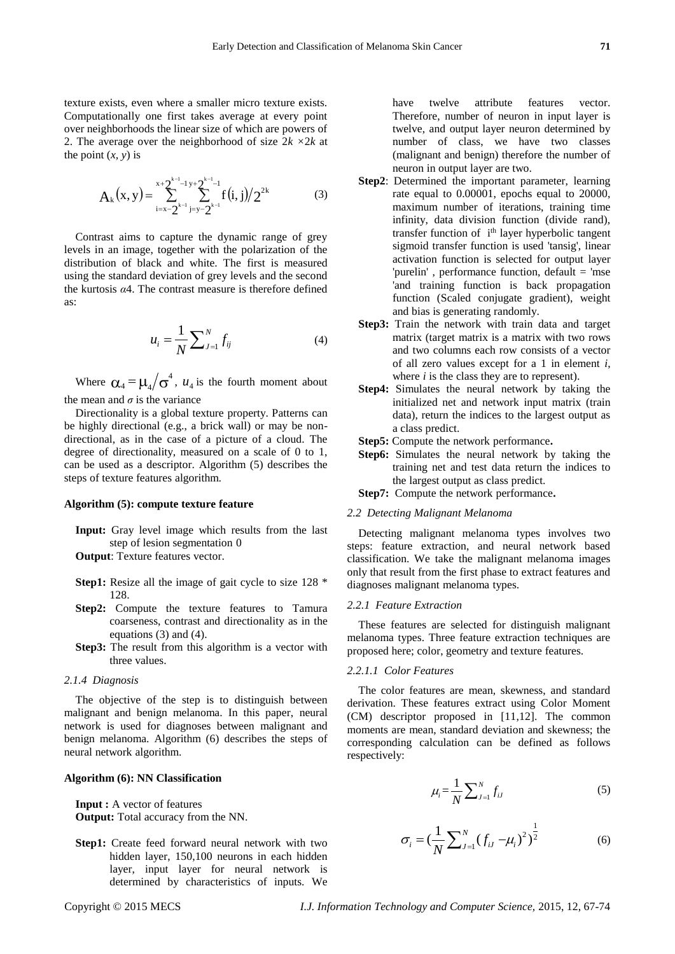texture exists, even where a smaller micro texture exists. Computationally one first takes average at every point over neighborhoods the linear size of which are powers of 2. The average over the neighborhood of size 2*k ×*2*k* at the point  $(x, y)$  is

$$
A_{k}(x,y) = \sum_{i=x-2^{k-1}}^{x+2} \sum_{j=y-2}^{x-1} f(i,j)/2^{2k}
$$
 (3)

Contrast aims to capture the dynamic range of grey levels in an image, together with the polarization of the distribution of black and white. The first is measured using the standard deviation of grey levels and the second the kurtosis *α*4. The contrast measure is therefore defined as:

$$
u_i = \frac{1}{N} \sum_{J=1}^{N} f_{ij}
$$
 (4)

Where  $\alpha_4 = \mu_4 / \sigma^4$  $\mu_4 = \mu_4 / \sigma^4$ ,  $u_4$  is the fourth moment about the mean and  $\sigma$  is the variance

Directionality is a global texture property. Patterns can be highly directional (e.g., a brick wall) or may be nondirectional, as in the case of a picture of a cloud. The degree of directionality, measured on a scale of 0 to 1, can be used as a descriptor. Algorithm (5) describes the steps of texture features algorithm.

#### **Algorithm (5): compute texture feature**

**Input:** Gray level image which results from the last step of lesion segmentation 0

**Output**: Texture features vector.

- **Step1:** Resize all the image of gait cycle to size 128 \* 128.
- **Step2:** Compute the texture features to Tamura coarseness, contrast and directionality as in the equations (3) and (4).
- **Step3:** The result from this algorithm is a vector with three values.

#### *2.1.4 Diagnosis*

The objective of the step is to distinguish between malignant and benign melanoma. In this paper, neural network is used for diagnoses between malignant and benign melanoma. Algorithm (6) describes the steps of neural network algorithm.

# **Algorithm (6): NN Classification**

**Input :** A vector of features **Output:** Total accuracy from the NN.

**Step1:** Create feed forward neural network with two hidden layer, 150,100 neurons in each hidden layer, input layer for neural network is determined by characteristics of inputs. We have twelve attribute features vector. Therefore, number of neuron in input layer is twelve, and output layer neuron determined by number of class, we have two classes (malignant and benign) therefore the number of neuron in output layer are two.

- **Step2**: Determined the important parameter, learning rate equal to 0.00001, epochs equal to 20000, maximum number of iterations, training time infinity, data division function (divide rand), transfer function of i<sup>th</sup> layer hyperbolic tangent sigmoid transfer function is used 'tansig', linear activation function is selected for output layer 'purelin' , performance function, default = 'mse 'and training function is back propagation function (Scaled conjugate gradient), weight and bias is generating randomly.
- **Step3:** Train the network with train data and target matrix (target matrix is a matrix with two rows and two columns each row consists of a vector of all zero values except for a 1 in element *i*, where *i* is the class they are to represent).
- **Step4:** Simulates the neural network by taking the initialized net and network input matrix (train data), return the indices to the largest output as a class predict.
- **Step5:** Compute the network performance**.**
- **Step6:** Simulates the neural network by taking the training net and test data return the indices to the largest output as class predict.
- **Step7:** Compute the network performance**.**

# *2.2 Detecting Malignant Melanoma*

Detecting malignant melanoma types involves two steps: feature extraction, and neural network based classification. We take the malignant melanoma images only that result from the first phase to extract features and diagnoses malignant melanoma types.

#### *2.2.1 Feature Extraction*

These features are selected for distinguish malignant melanoma types. Three feature extraction techniques are proposed here; color, geometry and texture features.

#### *2.2.1.1 Color Features*

The color features are mean, skewness, and standard derivation. These features extract using Color Moment (CM) descriptor proposed in [11,12]. The common moments are mean, standard deviation and skewness; the corresponding calculation can be defined as follows respectively:

$$
\mu_i = \frac{1}{N} \sum_{J=1}^{N} f_{iJ} \tag{5}
$$

$$
\sigma_i = \left(\frac{1}{N} \sum_{J=1}^{N} (f_{iJ} - \mu_i)^2\right)^{\frac{1}{2}}
$$
(6)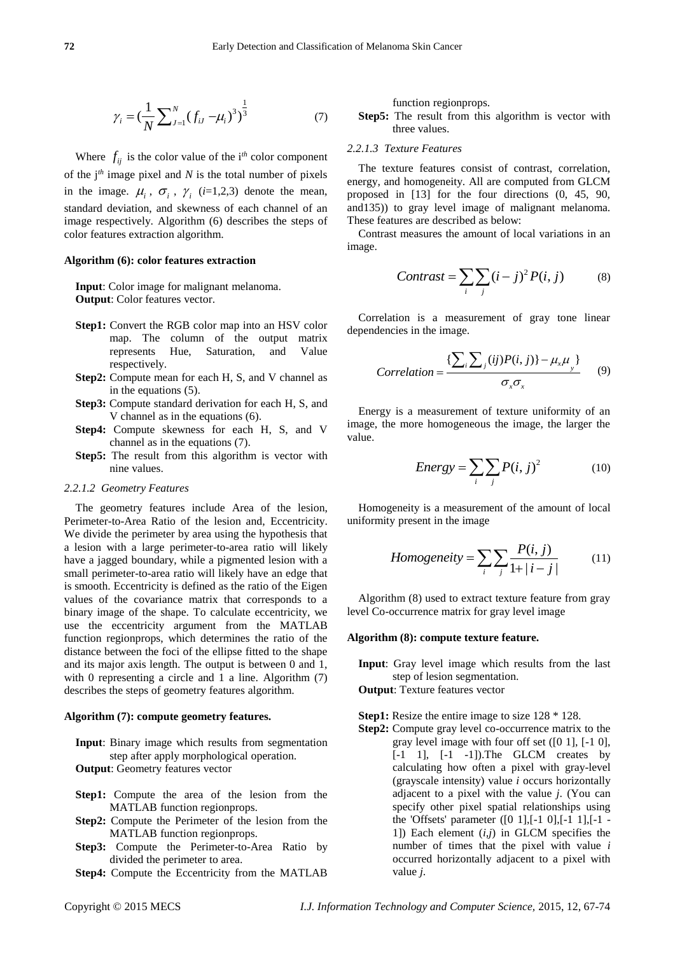$$
\gamma_i = \left(\frac{1}{N} \sum_{J=1}^{N} (f_{iJ} - \mu_i)^3\right)^{\frac{1}{3}}
$$
(7)

Where  $f_{ij}$  is the color value of the i<sup>th</sup> color component of the  $j<sup>th</sup>$  image pixel and *N* is the total number of pixels in the image.  $\mu_i$ ,  $\sigma_i$ ,  $\gamma_i$  (*i*=1,2,3) denote the mean, standard deviation, and skewness of each channel of an image respectively. Algorithm (6) describes the steps of color features extraction algorithm.

# **Algorithm (6): color features extraction**

**Input**: Color image for malignant melanoma. **Output**: Color features vector.

- **Step1:** Convert the RGB color map into an HSV color map. The column of the output matrix represents Hue, Saturation, and Value respectively.
- **Step2:** Compute mean for each H, S, and V channel as in the equations (5).
- **Step3:** Compute standard derivation for each H, S, and V channel as in the equations (6).
- **Step4:** Compute skewness for each H, S, and V channel as in the equations (7).
- **Step5:** The result from this algorithm is vector with nine values.

### *2.2.1.2 Geometry Features*

The geometry features include Area of the lesion, Perimeter-to-Area Ratio of the lesion and, Eccentricity. We divide the perimeter by area using the hypothesis that a lesion with a large perimeter-to-area ratio will likely have a jagged boundary, while a pigmented lesion with a small perimeter-to-area ratio will likely have an edge that is smooth. Eccentricity is defined as the ratio of the Eigen values of the covariance matrix that corresponds to a binary image of the shape. To calculate eccentricity, we use the eccentricity argument from the MATLAB function regionprops, which determines the ratio of the distance between the foci of the ellipse fitted to the shape and its major axis length. The output is between 0 and 1, with 0 representing a circle and 1 a line. Algorithm (7) describes the steps of geometry features algorithm.

#### **Algorithm (7): compute geometry features.**

**Input**: Binary image which results from segmentation step after apply morphological operation. **Output**: Geometry features vector

- **Step1:** Compute the area of the lesion from the MATLAB function regionprops.
- **Step2:** Compute the Perimeter of the lesion from the MATLAB function regionprops.
- **Step3:** Compute the Perimeter-to-Area Ratio by divided the perimeter to area.
- **Step4:** Compute the Eccentricity from the MATLAB

function regionprops.

**Step5:** The result from this algorithm is vector with three values.

# *2.2.1.3 Texture Features*

The texture features consist of contrast, correlation, energy, and homogeneity. All are computed from GLCM proposed in [13] for the four directions (0, 45, 90, and135)) to gray level image of malignant melanoma. These features are described as below:

Contrast measures the amount of local variations in an image.

$$
Contrast = \sum_{i} \sum_{j} (i - j)^2 P(i, j)
$$
 (8)

Correlation is a measurement of gray tone linear dependencies in the image.

dencies in the image.  
\nCorrelation = 
$$
\frac{\sum_{i} \sum_{j} (ij) P(i, j)\} - \mu_x \mu_y}{\sigma_x \sigma_x}
$$
 (9)

Energy is a measurement of texture uniformity of an image, the more homogeneous the image, the larger the value.

$$
Energy = \sum_{i} \sum_{j} P(i, j)^2
$$
 (10)

Homogeneity is a measurement of the amount of local uniformity present in the image

$$
Homogeneity = \sum_{i} \sum_{j} \frac{P(i, j)}{1 + |i - j|}
$$
(11)

Algorithm (8) used to extract texture feature from gray level Co-occurrence matrix for gray level image

# **Algorithm (8): compute texture feature.**

**Input**: Gray level image which results from the last step of lesion segmentation.

# **Output**: Texture features vector

# **Step1:** Resize the entire image to size 128 \* 128.

**Step2:** Compute gray level co-occurrence matrix to the gray level image with four off set ([0 1], [-1 0], [-1 1], [-1 -1]). The GLCM creates by calculating how often a pixel with gray-level (grayscale intensity) value *i* occurs horizontally adjacent to a pixel with the value *j*. (You can specify other pixel spatial relationships using the 'Offsets' parameter  $([0 1]$ ,  $[-1 0]$ ,  $[-1 1]$ ,  $[-1 -$ 1]) Each element (*i,j*) in GLCM specifies the number of times that the pixel with value *i*  occurred horizontally adjacent to a pixel with value *j*.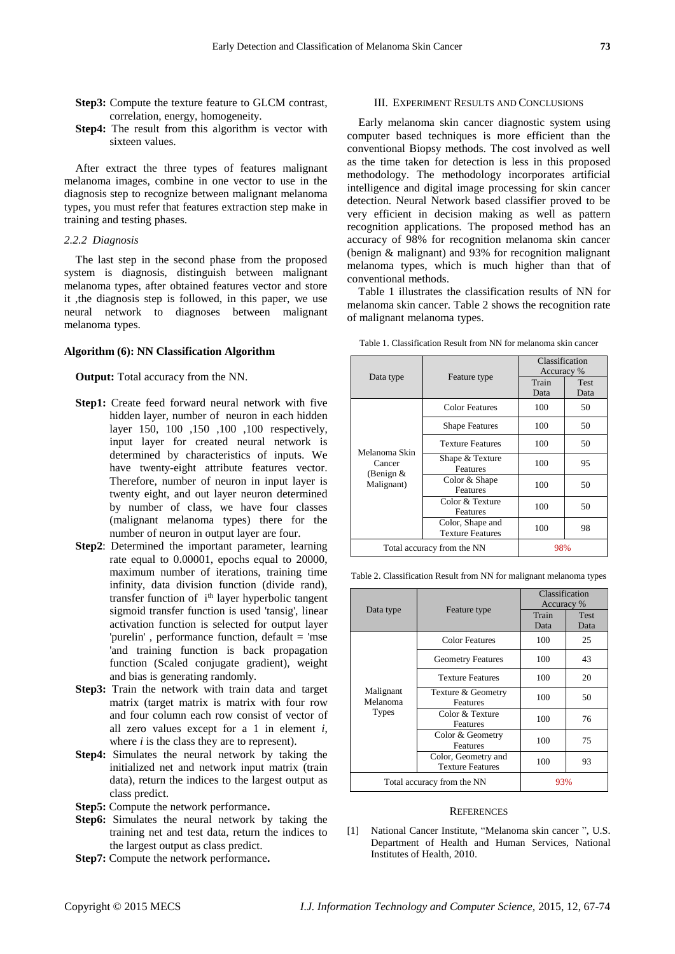- **Step3:** Compute the texture feature to GLCM contrast, correlation, energy, homogeneity.
- **Step4:** The result from this algorithm is vector with sixteen values.

After extract the three types of features malignant melanoma images, combine in one vector to use in the diagnosis step to recognize between malignant melanoma types, you must refer that features extraction step make in training and testing phases.

# *2.2.2 Diagnosis*

The last step in the second phase from the proposed system is diagnosis, distinguish between malignant melanoma types, after obtained features vector and store it ,the diagnosis step is followed, in this paper, we use neural network to diagnoses between malignant melanoma types.

#### **Algorithm (6): NN Classification Algorithm**

**Output:** Total accuracy from the NN.

- **Step1:** Create feed forward neural network with five hidden layer, number of neuron in each hidden layer 150, 100 ,150 ,100 ,100 respectively, input layer for created neural network is determined by characteristics of inputs. We have twenty-eight attribute features vector. Therefore, number of neuron in input layer is twenty eight, and out layer neuron determined by number of class, we have four classes (malignant melanoma types) there for the number of neuron in output layer are four.
- **Step2**: Determined the important parameter, learning rate equal to 0.00001, epochs equal to 20000, maximum number of iterations, training time infinity, data division function (divide rand), transfer function of i<sup>th</sup> layer hyperbolic tangent sigmoid transfer function is used 'tansig', linear activation function is selected for output layer 'purelin' , performance function, default = 'mse 'and training function is back propagation function (Scaled conjugate gradient), weight and bias is generating randomly.
- **Step3:** Train the network with train data and target matrix (target matrix is matrix with four row and four column each row consist of vector of all zero values except for a 1 in element *i*, where *i* is the class they are to represent).
- **Step4:** Simulates the neural network by taking the initialized net and network input matrix (train data), return the indices to the largest output as class predict.
- **Step5:** Compute the network performance**.**
- **Step6:** Simulates the neural network by taking the training net and test data, return the indices to the largest output as class predict.
- **Step7:** Compute the network performance**.**

#### III. EXPERIMENT RESULTS AND CONCLUSIONS

Early melanoma skin cancer diagnostic system using computer based techniques is more efficient than the conventional Biopsy methods. The cost involved as well as the time taken for detection is less in this proposed methodology. The methodology incorporates artificial intelligence and digital image processing for skin cancer detection. Neural Network based classifier proved to be very efficient in decision making as well as pattern recognition applications. The proposed method has an accuracy of 98% for recognition melanoma skin cancer (benign & malignant) and 93% for recognition malignant melanoma types, which is much higher than that of conventional methods.

Table 1 illustrates the classification results of NN for melanoma skin cancer. Table 2 shows the recognition rate of malignant melanoma types.

| Data type                                            | Feature type                                | Classification<br>Accuracy % |                     |
|------------------------------------------------------|---------------------------------------------|------------------------------|---------------------|
|                                                      |                                             | Train<br>Data                | <b>Test</b><br>Data |
| Melanoma Skin<br>Cancer<br>(Benign $&$<br>Malignant) | <b>Color Features</b>                       | 100                          | 50                  |
|                                                      | <b>Shape Features</b>                       | 100                          | 50                  |
|                                                      | <b>Texture Features</b>                     | 100                          | 50                  |
|                                                      | Shape & Texture<br>Features                 | 100                          | 95                  |
|                                                      | Color & Shape<br>Features                   | 100                          | 50                  |
|                                                      | Color & Texture<br>Features                 | 100                          | 50                  |
|                                                      | Color, Shape and<br><b>Texture Features</b> | 100                          | 98                  |
| Total accuracy from the NN                           |                                             | 98%                          |                     |

Table 1. Classification Result from NN for melanoma skin cancer

Table 2. Classification Result from NN for malignant melanoma types

| Data type                             | Feature type                                   | Classification<br>Accuracy % |              |
|---------------------------------------|------------------------------------------------|------------------------------|--------------|
|                                       |                                                | Train<br>Data                | Test<br>Data |
| Malignant<br>Melanoma<br><b>Types</b> | <b>Color Features</b>                          | 100                          | 25           |
|                                       | <b>Geometry Features</b>                       | 100                          | 43           |
|                                       | <b>Texture Features</b>                        | 100                          | 20           |
|                                       | Texture & Geometry<br>Features                 | 100                          | 50           |
|                                       | Color & Texture<br>Features                    | 100                          | 76           |
|                                       | Color & Geometry<br>Features                   | 100                          | 75           |
|                                       | Color, Geometry and<br><b>Texture Features</b> | 100                          | 93           |
| Total accuracy from the NN            |                                                | 93%                          |              |

#### **REFERENCES**

[1] National Cancer Institute, "Melanoma skin cancer ", U.S. Department of Health and Human Services, National Institutes of Health, 2010.